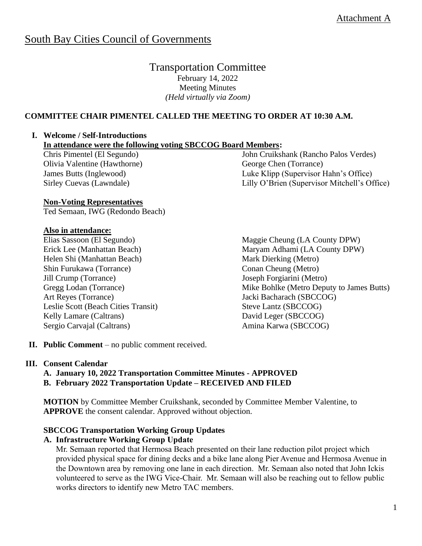# South Bay Cities Council of Governments

Transportation Committee February 14, 2022 Meeting Minutes *(Held virtually via Zoom)*

# **COMMITTEE CHAIR PIMENTEL CALLED THE MEETING TO ORDER AT 10:30 A.M.**

# **I. Welcome / Self-Introductions**

**In attendance were the following voting SBCCOG Board Members:** 

Chris Pimentel (El Segundo) Olivia Valentine (Hawthorne) James Butts (Inglewood) Sirley Cuevas (Lawndale)

## **Non-Voting Representatives**

Ted Semaan, IWG (Redondo Beach)

## **Also in attendance:**

Elias Sassoon (El Segundo) Erick Lee (Manhattan Beach) Helen Shi (Manhattan Beach) Shin Furukawa (Torrance) Jill Crump (Torrance) Gregg Lodan (Torrance) Art Reyes (Torrance) Leslie Scott (Beach Cities Transit) Kelly Lamare (Caltrans) Sergio Carvajal (Caltrans)

John Cruikshank (Rancho Palos Verdes) George Chen (Torrance) Luke Klipp (Supervisor Hahn's Office) Lilly O'Brien (Supervisor Mitchell's Office)

Maggie Cheung (LA County DPW) Maryam Adhami (LA County DPW) Mark Dierking (Metro) Conan Cheung (Metro) Joseph Forgiarini (Metro) Mike Bohlke (Metro Deputy to James Butts) Jacki Bacharach (SBCCOG) Steve Lantz (SBCCOG) David Leger (SBCCOG) Amina Karwa (SBCCOG)

**II. Public Comment** – no public comment received.

## **III. Consent Calendar**

#### **A. January 10, 2022 Transportation Committee Minutes - APPROVED B. February 2022 Transportation Update – RECEIVED AND FILED**

**MOTION** by Committee Member Cruikshank, seconded by Committee Member Valentine, to **APPROVE** the consent calendar. Approved without objection.

## **SBCCOG Transportation Working Group Updates**

## **A. Infrastructure Working Group Update**

Mr. Semaan reported that Hermosa Beach presented on their lane reduction pilot project which provided physical space for dining decks and a bike lane along Pier Avenue and Hermosa Avenue in the Downtown area by removing one lane in each direction. Mr. Semaan also noted that John Ickis volunteered to serve as the IWG Vice-Chair. Mr. Semaan will also be reaching out to fellow public works directors to identify new Metro TAC members.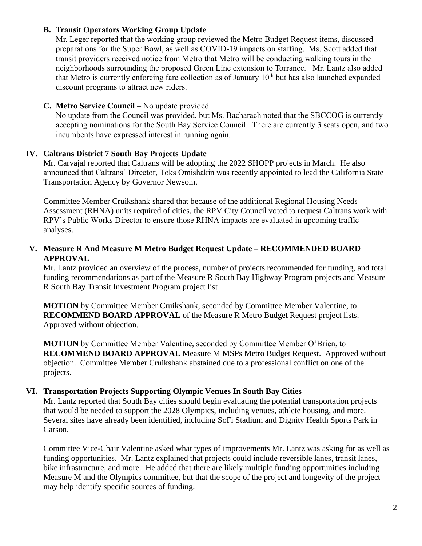# **B. Transit Operators Working Group Update**

Mr. Leger reported that the working group reviewed the Metro Budget Request items, discussed preparations for the Super Bowl, as well as COVID-19 impacts on staffing. Ms. Scott added that transit providers received notice from Metro that Metro will be conducting walking tours in the neighborhoods surrounding the proposed Green Line extension to Torrance. Mr. Lantz also added that Metro is currently enforcing fare collection as of January  $10<sup>th</sup>$  but has also launched expanded discount programs to attract new riders.

# **C. Metro Service Council** – No update provided

No update from the Council was provided, but Ms. Bacharach noted that the SBCCOG is currently accepting nominations for the South Bay Service Council. There are currently 3 seats open, and two incumbents have expressed interest in running again.

# **IV. Caltrans District 7 South Bay Projects Update**

Mr. Carvajal reported that Caltrans will be adopting the 2022 SHOPP projects in March. He also announced that Caltrans' Director, Toks Omishakin was recently appointed to lead the California State Transportation Agency by Governor Newsom.

Committee Member Cruikshank shared that because of the additional Regional Housing Needs Assessment (RHNA) units required of cities, the RPV City Council voted to request Caltrans work with RPV's Public Works Director to ensure those RHNA impacts are evaluated in upcoming traffic analyses.

# **V. Measure R And Measure M Metro Budget Request Update – RECOMMENDED BOARD APPROVAL**

Mr. Lantz provided an overview of the process, number of projects recommended for funding, and total funding recommendations as part of the Measure R South Bay Highway Program projects and Measure R South Bay Transit Investment Program project list

**MOTION** by Committee Member Cruikshank, seconded by Committee Member Valentine, to **RECOMMEND BOARD APPROVAL** of the Measure R Metro Budget Request project lists. Approved without objection.

**MOTION** by Committee Member Valentine, seconded by Committee Member O'Brien, to **RECOMMEND BOARD APPROVAL** Measure M MSPs Metro Budget Request. Approved without objection. Committee Member Cruikshank abstained due to a professional conflict on one of the projects.

## **VI. Transportation Projects Supporting Olympic Venues In South Bay Cities**

Mr. Lantz reported that South Bay cities should begin evaluating the potential transportation projects that would be needed to support the 2028 Olympics, including venues, athlete housing, and more. Several sites have already been identified, including SoFi Stadium and Dignity Health Sports Park in Carson.

Committee Vice-Chair Valentine asked what types of improvements Mr. Lantz was asking for as well as funding opportunities. Mr. Lantz explained that projects could include reversible lanes, transit lanes, bike infrastructure, and more. He added that there are likely multiple funding opportunities including Measure M and the Olympics committee, but that the scope of the project and longevity of the project may help identify specific sources of funding.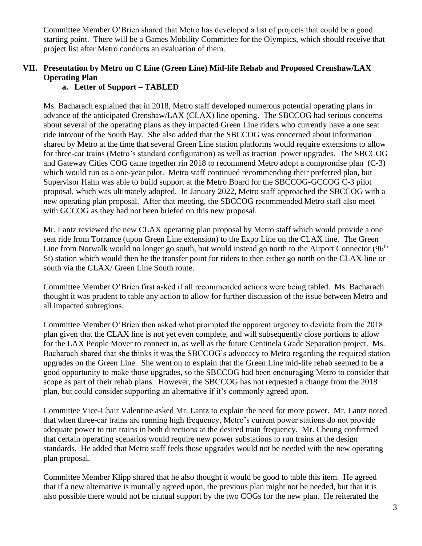Committee Member O'Brien shared that Metro has developed a list of projects that could be a good starting point. There will be a Games Mobility Committee for the Olympics, which should receive that project list after Metro conducts an evaluation of them.

# **VII. Presentation by Metro on C Line (Green Line) Mid-life Rehab and Proposed Crenshaw/LAX Operating Plan**

# **a. Letter of Support – TABLED**

Ms. Bacharach explained that in 2018, Metro staff developed numerous potential operating plans in advance of the anticipated Crenshaw/LAX (CLAX) line opening. The SBCCOG had serious concerns about several of the operating plans as they impacted Green Line riders who currently have a one seat ride into/out of the South Bay. She also added that the SBCCOG was concerned about information shared by Metro at the time that several Green Line station platforms would require extensions to allow for three-car trains (Metro's standard configuration) as well as traction power upgrades. The SBCCOG and Gateway Cities COG came together rin 2018 to recommend Metro adopt a compromise plan (C-3) which would run as a one-year pilot. Metro staff continued recommending their preferred plan, but Supervisor Hahn was able to build support at the Metro Board for the SBCCOG-GCCOG C-3 pilot proposal, which was ultimately adopted. In January 2022, Metro staff approached the SBCCOG with a new operating plan proposal. After that meeting, the SBCCOG recommended Metro staff also meet with GCCOG as they had not been briefed on this new proposal.

Mr. Lantz reviewed the new CLAX operating plan proposal by Metro staff which would provide a one seat ride from Torrance (upon Green Line extension) to the Expo Line on the CLAX line. The Green Line from Norwalk would no longer go south, but would instead go north to the Airport Connector (96<sup>th</sup>) St) station which would then be the transfer point for riders to then either go north on the CLAX line or south via the CLAX/ Green Line South route.

Committee Member O'Brien first asked if all recommended actions were being tabled. Ms. Bacharach thought it was prudent to table any action to allow for further discussion of the issue between Metro and all impacted subregions.

Committee Member O'Brien then asked what prompted the apparent urgency to deviate from the 2018 plan given that the CLAX line is not yet even complete, and will subsequently close portions to allow for the LAX People Mover to connect in, as well as the future Centinela Grade Separation project. Ms. Bacharach shared that she thinks it was the SBCCOG's advocacy to Metro regarding the required station upgrades on the Green Line. She went on to explain that the Green Line mid-life rehab seemed to be a good opportunity to make those upgrades, so the SBCCOG had been encouraging Metro to consider that scope as part of their rehab plans. However, the SBCCOG has not requested a change from the 2018 plan, but could consider supporting an alternative if it's commonly agreed upon.

Committee Vice-Chair Valentine asked Mr. Lantz to explain the need for more power. Mr. Lantz noted that when three-car trains are running high frequency, Metro's current power stations do not provide adequate power to run trains in both directions at the desired train frequency. Mr. Cheung confirmed that certain operating scenarios would require new power substations to run trains at the design standards. He added that Metro staff feels those upgrades would not be needed with the new operating plan proposal.

Committee Member Klipp shared that he also thought it would be good to table this item. He agreed that if a new alternative is mutually agreed upon, the previous plan might not be needed, but that it is also possible there would not be mutual support by the two COGs for the new plan. He reiterated the